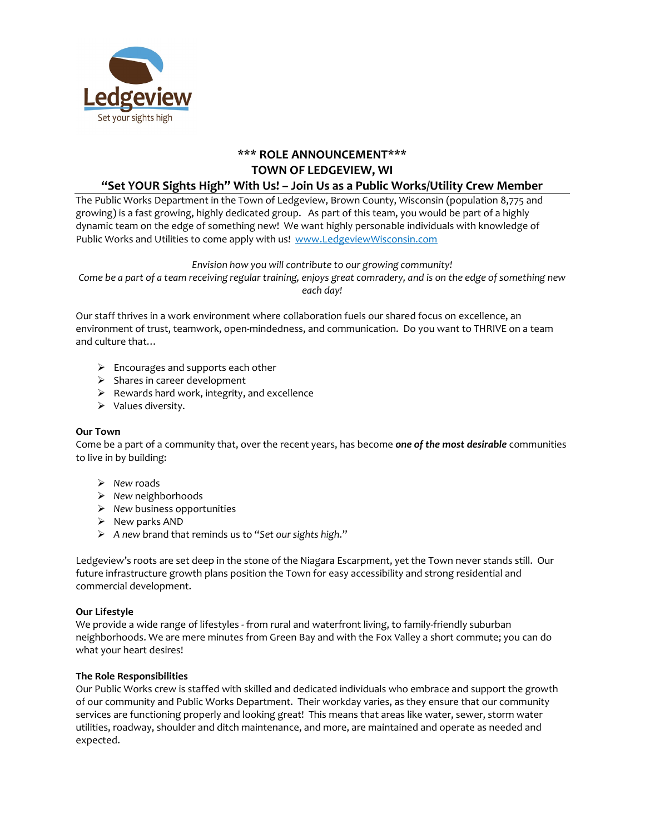

# **\*\*\* ROLE ANNOUNCEMENT\*\*\* TOWN OF LEDGEVIEW, WI "Set YOUR Sights High" With Us! – Join Us as a Public Works/Utility Crew Member**

# The Public Works Department in the Town of Ledgeview, Brown County, Wisconsin (population 8,775 and growing) is a fast growing, highly dedicated group. As part of this team, you would be part of a highly dynamic team on the edge of something new! We want highly personable individuals with knowledge of Public Works and Utilities to come apply with us! [www.LedgeviewWisconsin.com](http://www.ledgeviewwisconsin.com/)

*Envision how you will contribute to our growing community!*

*Come be a part of a team receiving regular training, enjoys great comradery, and is on the edge of something new each day!*

Our staff thrives in a work environment where collaboration fuels our shared focus on excellence, an environment of trust, teamwork, open-mindedness, and communication. Do you want to THRIVE on a team and culture that…

- $\triangleright$  Encourages and supports each other
- $\triangleright$  Shares in career development
- $\triangleright$  Rewards hard work, integrity, and excellence
- $\triangleright$  Values diversity.

# **Our Town**

Come be a part of a community that, over the recent years, has become *one of the most desirable* communities to live in by building:

- *New* roads
- *New* neighborhoods
- *New* business opportunities
- $\triangleright$  New parks AND
- *A new* brand that reminds us to "*Set our sights high*."

Ledgeview's roots are set deep in the stone of the Niagara Escarpment, yet the Town never stands still. Our future infrastructure growth plans position the Town for easy accessibility and strong residential and commercial development.

# **Our Lifestyle**

We provide a wide range of lifestyles - from rural and waterfront living, to family-friendly suburban neighborhoods. We are mere minutes from Green Bay and with the Fox Valley a short commute; you can do what your heart desires!

# **The Role Responsibilities**

Our Public Works crew is staffed with skilled and dedicated individuals who embrace and support the growth of our community and Public Works Department. Their workday varies, as they ensure that our community services are functioning properly and looking great! This means that areas like water, sewer, storm water utilities, roadway, shoulder and ditch maintenance, and more, are maintained and operate as needed and expected.